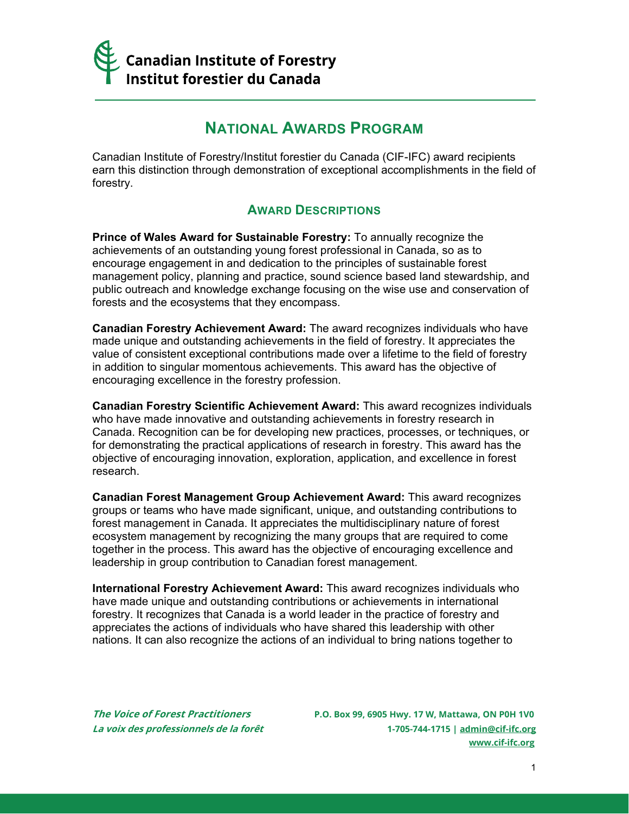

## **NATIONAL AWARDS PROGRAM**

Canadian Institute of Forestry/Institut forestier du Canada (CIF-IFC) award recipients earn this distinction through demonstration of exceptional accomplishments in the field of forestry.

## **AWARD DESCRIPTIONS**

**Prince of Wales Award for Sustainable Forestry:** To annually recognize the achievements of an outstanding young forest professional in Canada, so as to encourage engagement in and dedication to the principles of sustainable forest management policy, planning and practice, sound science based land stewardship, and public outreach and knowledge exchange focusing on the wise use and conservation of forests and the ecosystems that they encompass.

**Canadian Forestry Achievement Award:** The award recognizes individuals who have made unique and outstanding achievements in the field of forestry. It appreciates the value of consistent exceptional contributions made over a lifetime to the field of forestry in addition to singular momentous achievements. This award has the objective of encouraging excellence in the forestry profession.

**Canadian Forestry Scientific Achievement Award:** This award recognizes individuals who have made innovative and outstanding achievements in forestry research in Canada. Recognition can be for developing new practices, processes, or techniques, or for demonstrating the practical applications of research in forestry. This award has the objective of encouraging innovation, exploration, application, and excellence in forest research.

**Canadian Forest Management Group Achievement Award:** This award recognizes groups or teams who have made significant, unique, and outstanding contributions to forest management in Canada. It appreciates the multidisciplinary nature of forest ecosystem management by recognizing the many groups that are required to come together in the process. This award has the objective of encouraging excellence and leadership in group contribution to Canadian forest management.

**International Forestry Achievement Award:** This award recognizes individuals who have made unique and outstanding contributions or achievements in international forestry. It recognizes that Canada is a world leader in the practice of forestry and appreciates the actions of individuals who have shared this leadership with other nations. It can also recognize the actions of an individual to bring nations together to

**The Voice of Forest Practitioners P.O. Box 99, 6905 Hwy. 17 W, Mattawa, ON P0H 1V0 La voix des professionnels de la forêt 1-705-744-1715 [| admin@cif-ifc.org](mailto:admin@cif-ifc.org) [www.cif-ifc.org](http://www.cif-ifc.org/)**